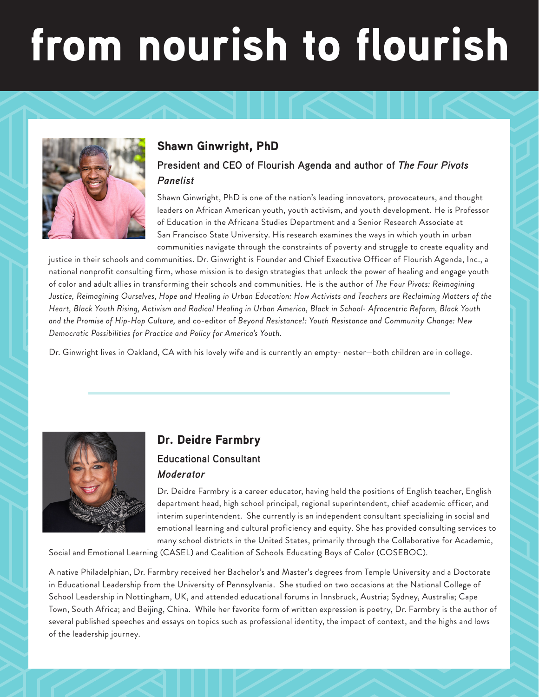# from nourish to flourish



# Shawn Ginwright, PhD

#### **President and CEO of Flourish Agenda and author of** *The Four Pivots Panelist*

Shawn Ginwright, PhD is one of the nation's leading innovators, provocateurs, and thought leaders on African American youth, youth activism, and youth development. He is Professor of Education in the Africana Studies Department and a Senior Research Associate at San Francisco State University. His research examines the ways in which youth in urban communities navigate through the constraints of poverty and struggle to create equality and

justice in their schools and communities. Dr. Ginwright is Founder and Chief Executive Officer of Flourish Agenda, Inc., a national nonprofit consulting firm, whose mission is to design strategies that unlock the power of healing and engage youth of color and adult allies in transforming their schools and communities. He is the author of *The Four Pivots: Reimagining Justice, Reimagining Ourselves, Hope and Healing in Urban Education: How Activists and Teachers are Reclaiming Matters of the Heart, Black Youth Rising, Activism and Radical Healing in Urban America, Black in School- Afrocentric Reform, Black Youth and the Promise of Hip-Hop Culture,* and co-editor of *Beyond Resistance!: Youth Resistance and Community Change: New Democratic Possibilities for Practice and Policy for America's Youth.* 

Dr. Ginwright lives in Oakland, CA with his lovely wife and is currently an empty- nester—both children are in college.



## Dr. Deidre Farmbry

#### **Educational Consultant** *Moderator*

Dr. Deidre Farmbry is a career educator, having held the positions of English teacher, English department head, high school principal, regional superintendent, chief academic officer, and interim superintendent. She currently is an independent consultant specializing in social and emotional learning and cultural proficiency and equity. She has provided consulting services to many school districts in the United States, primarily through the Collaborative for Academic,

Social and Emotional Learning (CASEL) and Coalition of Schools Educating Boys of Color (COSEBOC).

A native Philadelphian, Dr. Farmbry received her Bachelor's and Master's degrees from Temple University and a Doctorate in Educational Leadership from the University of Pennsylvania. She studied on two occasions at the National College of School Leadership in Nottingham, UK, and attended educational forums in Innsbruck, Austria; Sydney, Australia; Cape Town, South Africa; and Beijing, China. While her favorite form of written expression is poetry, Dr. Farmbry is the author of several published speeches and essays on topics such as professional identity, the impact of context, and the highs and lows of the leadership journey.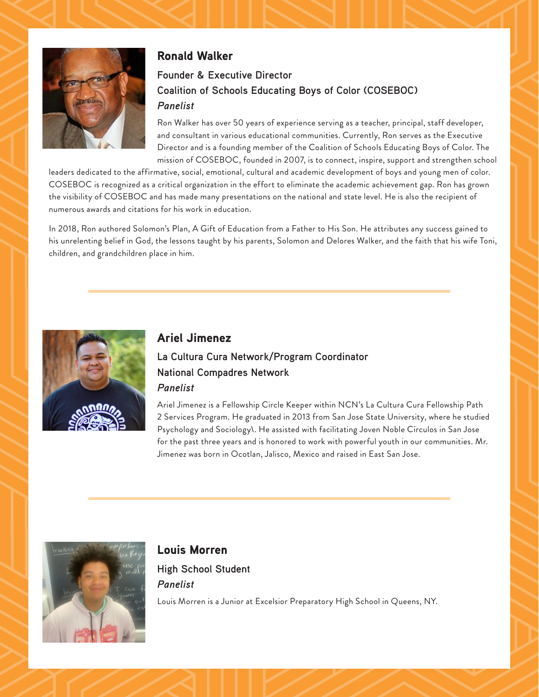

#### Ronald Walker

## **Founder & Executive Director Coalition of Schools Educating Boys of Color (COSEBOC)** *Panelist*

Ron Walker has over 50 years of experience serving as a teacher, principal, staff developer, and consultant in various educational communities. Currently, Ron serves as the Executive Director and is a founding member of the Coalition of Schools Educating Boys of Color. The mission of COSEBOC, founded in 2007, is to connect, inspire, support and strengthen school

leaders dedicated to the affirmative, social, emotional, cultural and academic development of boys and young men of color. COSEBOC is recognized as a critical organization in the effort to eliminate the academic achievement gap. Ron has grown the visibility of COSEBOC and has made many presentations on the national and state level. He is also the recipient of numerous awards and citations for his work in education.

In 2018, Ron authored Solomon's Plan, A Gift of Education from a Father to His Son. He attributes any success gained to his unrelenting belief in God, the lessons taught by his parents, Solomon and Delores Walker, and the faith that his wife Toni, children, and grandchildren place in him.



#### Ariel Jimenez

## **La Cultura Cura Network/Program Coordinator National Compadres Network** *Panelist*

Ariel Jimenez is a Fellowship Circle Keeper within NCN's La Cultura Cura Fellowship Path 2 Services Program. He graduated in 2013 from San Jose State University, where he studied Psychology and Sociology\. He assisted with facilitating Joven Noble Círculos in San Jose for the past three years and is honored to work with powerful youth in our communities. Mr. Jimenez was born in Ocotlan, Jalisco, Mexico and raised in East San Jose.



#### Louis Morren

**High School Student** *Panelist*

Louis Morren is a Junior at Excelsior Preparatory High School in Queens, NY.